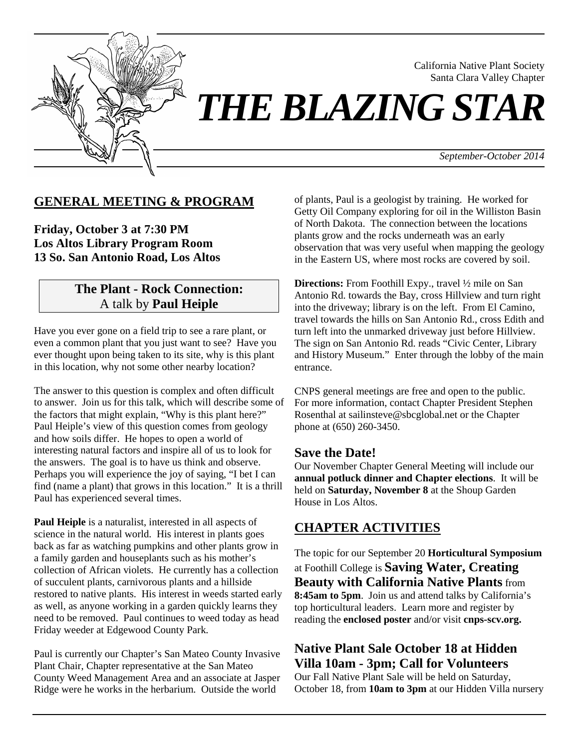

Santa Clara Valley Chapter *THE BLAZING STAR*

*September-October 2014*

California Native Plant Society

### **GENERAL MEETING & PROGRAM**

**Friday, October 3 at 7:30 PM Los Altos Library Program Room 13 So. San Antonio Road, Los Altos**

## **The Plant - Rock Connection:**  A talk by **Paul Heiple**

Have you ever gone on a field trip to see a rare plant, or even a common plant that you just want to see? Have you ever thought upon being taken to its site, why is this plant in this location, why not some other nearby location?

The answer to this question is complex and often difficult to answer. Join us for this talk, which will describe some of the factors that might explain, "Why is this plant here?" Paul Heiple's view of this question comes from geology and how soils differ. He hopes to open a world of interesting natural factors and inspire all of us to look for the answers. The goal is to have us think and observe. Perhaps you will experience the joy of saying, "I bet I can find (name a plant) that grows in this location." It is a thrill Paul has experienced several times.

**Paul Heiple** is a naturalist, interested in all aspects of science in the natural world. His interest in plants goes back as far as watching pumpkins and other plants grow in a family garden and houseplants such as his mother's collection of African violets. He currently has a collection of succulent plants, carnivorous plants and a hillside restored to native plants. His interest in weeds started early as well, as anyone working in a garden quickly learns they need to be removed. Paul continues to weed today as head Friday weeder at Edgewood County Park.

Paul is currently our Chapter's San Mateo County Invasive Plant Chair, Chapter representative at the San Mateo County Weed Management Area and an associate at Jasper Ridge were he works in the herbarium. Outside the world

of plants, Paul is a geologist by training. He worked for Getty Oil Company exploring for oil in the Williston Basin of North Dakota. The connection between the locations plants grow and the rocks underneath was an early observation that was very useful when mapping the geology in the Eastern US, where most rocks are covered by soil.

**Directions:** From Foothill Expy., travel ½ mile on San Antonio Rd. towards the Bay, cross Hillview and turn right into the driveway; library is on the left. From El Camino, travel towards the hills on San Antonio Rd., cross Edith and turn left into the unmarked driveway just before Hillview. The sign on San Antonio Rd. reads "Civic Center, Library and History Museum." Enter through the lobby of the main entrance.

CNPS general meetings are free and open to the public. For more information, contact Chapter President Stephen Rosenthal at sailinsteve@sbcglobal.net or the Chapter phone at (650) 260-3450.

#### **Save the Date!**

Our November Chapter General Meeting will include our **annual potluck dinner and Chapter elections**. It will be held on **Saturday, November 8** at the Shoup Garden House in Los Altos.

### **CHAPTER ACTIVITIES**

The topic for our September 20 **Horticultural Symposium** at Foothill College is **Saving Water, Creating Beauty with California Native Plants** from **8:45am to 5pm**. Join us and attend talks by California's top horticultural leaders. Learn more and register by reading the **enclosed poster** and/or visit **cnps-scv.org.** 

# **Native Plant Sale October 18 at Hidden Villa 10am - 3pm; Call for Volunteers**

Our Fall Native Plant Sale will be held on Saturday, October 18, from **10am to 3pm** at our Hidden Villa nursery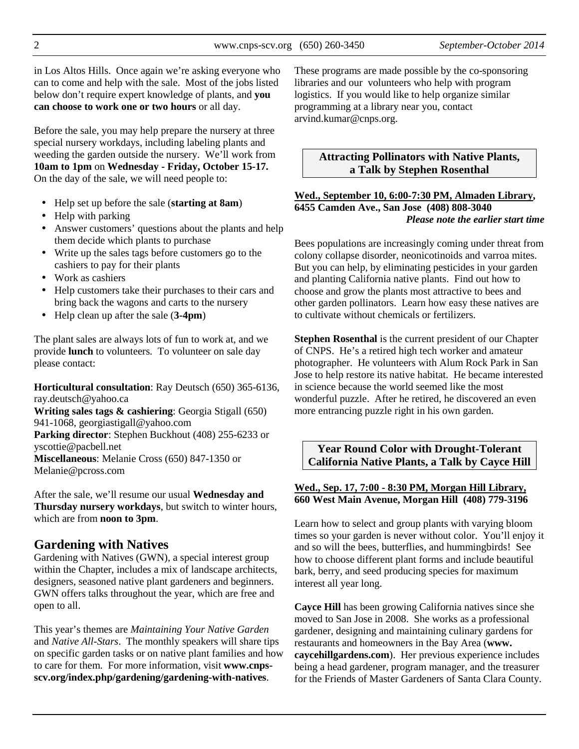in Los Altos Hills. Once again we're asking everyone who can to come and help with the sale. Most of the jobs listed below don't require expert knowledge of plants, and **you can choose to work one or two hours** or all day.

Before the sale, you may help prepare the nursery at three special nursery workdays, including labeling plants and weeding the garden outside the nursery. We'll work from **10am to 1pm** on **Wednesday - Friday, October 15-17.**  On the day of the sale, we will need people to:

- Help set up before the sale (**starting at 8am**)
- Help with parking
- Answer customers' questions about the plants and help them decide which plants to purchase
- Write up the sales tags before customers go to the cashiers to pay for their plants
- Work as cashiers
- Help customers take their purchases to their cars and bring back the wagons and carts to the nursery
- Help clean up after the sale (**3-4pm**)

The plant sales are always lots of fun to work at, and we provide **lunch** to volunteers. To volunteer on sale day please contact:

**Horticultural consultation**: Ray Deutsch (650) 365-6136, ray.deutsch@yahoo.ca

**Writing sales tags & cashiering**: Georgia Stigall (650) 941-1068, georgiastigall@yahoo.com

**Parking director**: Stephen Buckhout (408) 255-6233 or yscottie@pacbell.net

**Miscellaneous**: Melanie Cross (650) 847-1350 or Melanie@pcross.com

After the sale, we'll resume our usual **Wednesday and Thursday nursery workdays**, but switch to winter hours, which are from **noon to 3pm**.

# **Gardening with Natives**

Gardening with Natives (GWN), a special interest group within the Chapter, includes a mix of landscape architects, designers, seasoned native plant gardeners and beginners. GWN offers talks throughout the year, which are free and open to all.

This year's themes are *Maintaining Your Native Garden* and *Native All-Stars*. The monthly speakers will share tips on specific garden tasks or on native plant families and how to care for them. For more information, visit **www.cnpsscv.org/index.php/gardening/gardening-with-natives**.

These programs are made possible by the co-sponsoring libraries and our volunteers who help with program logistics. If you would like to help organize similar programming at a library near you, contact arvind.kumar@cnps.org.

#### **Attracting Pollinators with Native Plants, a Talk by Stephen Rosenthal**

#### **Wed., September 10, 6:00-7:30 PM, Almaden Library, 6455 Camden Ave., San Jose (408) 808-3040**  *Please note the earlier start time*

Bees populations are increasingly coming under threat from colony collapse disorder, neonicotinoids and varroa mites. But you can help, by eliminating pesticides in your garden and planting California native plants. Find out how to choose and grow the plants most attractive to bees and other garden pollinators. Learn how easy these natives are to cultivate without chemicals or fertilizers.

**Stephen Rosenthal** is the current president of our Chapter of CNPS. He's a retired high tech worker and amateur photographer. He volunteers with Alum Rock Park in San Jose to help restore its native habitat. He became interested in science because the world seemed like the most wonderful puzzle. After he retired, he discovered an even more entrancing puzzle right in his own garden.

**Year Round Color with Drought-Tolerant California Native Plants, a Talk by Cayce Hill** 

#### **Wed., Sep. 17, 7:00 - 8:30 PM, Morgan Hill Library, 660 West Main Avenue, Morgan Hill (408) 779-3196**

Learn how to select and group plants with varying bloom times so your garden is never without color. You'll enjoy it and so will the bees, butterflies, and hummingbirds! See how to choose different plant forms and include beautiful bark, berry, and seed producing species for maximum interest all year long.

**Cayce Hill** has been growing California natives since she moved to San Jose in 2008. She works as a professional gardener, designing and maintaining culinary gardens for restaurants and homeowners in the Bay Area (**www. caycehillgardens.com**). Her previous experience includes being a head gardener, program manager, and the treasurer for the Friends of Master Gardeners of Santa Clara County.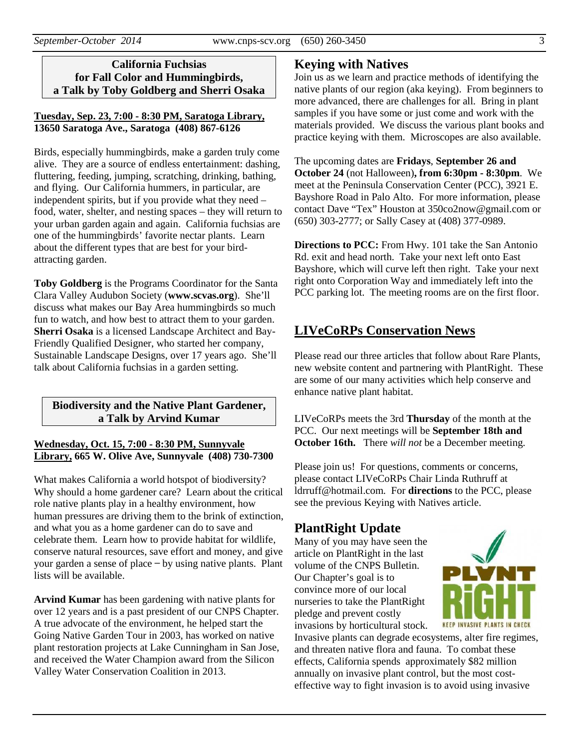#### **California Fuchsias for Fall Color and Hummingbirds, a Talk by Toby Goldberg and Sherri Osaka**

#### **Tuesday, Sep. 23, 7:00 - 8:30 PM, Saratoga Library, 13650 Saratoga Ave., Saratoga (408) 867-6126**

Birds, especially hummingbirds, make a garden truly come alive. They are a source of endless entertainment: dashing, fluttering, feeding, jumping, scratching, drinking, bathing, and flying. Our California hummers, in particular, are independent spirits, but if you provide what they need – food, water, shelter, and nesting spaces – they will return to your urban garden again and again. California fuchsias are one of the hummingbirds' favorite nectar plants. Learn about the different types that are best for your birdattracting garden.

**Toby Goldberg** is the Programs Coordinator for the Santa Clara Valley Audubon Society (**www.scvas.org**). She'll discuss what makes our Bay Area hummingbirds so much fun to watch, and how best to attract them to your garden. **Sherri Osaka** is a licensed Landscape Architect and Bay-Friendly Qualified Designer, who started her company, Sustainable Landscape Designs, over 17 years ago. She'll talk about California fuchsias in a garden setting.

#### **Biodiversity and the Native Plant Gardener, a Talk by Arvind Kumar**

#### **Wednesday, Oct. 15, 7:00 - 8:30 PM, Sunnyvale Library, 665 W. Olive Ave, Sunnyvale (408) 730-7300**

What makes California a world hotspot of biodiversity? Why should a home gardener care? Learn about the critical role native plants play in a healthy environment, how human pressures are driving them to the brink of extinction, and what you as a home gardener can do to save and celebrate them. Learn how to provide habitat for wildlife, conserve natural resources, save effort and money, and give your garden a sense of place  $-$  by using native plants. Plant lists will be available.

**Arvind Kumar** has been gardening with native plants for over 12 years and is a past president of our CNPS Chapter. A true advocate of the environment, he helped start the Going Native Garden Tour in 2003, has worked on native plant restoration projects at Lake Cunningham in San Jose, and received the Water Champion award from the Silicon Valley Water Conservation Coalition in 2013.

### **Keying with Natives**

Join us as we learn and practice methods of identifying the native plants of our region (aka keying). From beginners to more advanced, there are challenges for all. Bring in plant samples if you have some or just come and work with the materials provided. We discuss the various plant books and practice keying with them. Microscopes are also available.

The upcoming dates are **Fridays**, **September 26 and October 24** (not Halloween)**, from 6:30pm - 8:30pm**. We meet at the Peninsula Conservation Center (PCC), 3921 E. Bayshore Road in Palo Alto. For more information, please contact Dave "Tex" Houston at 350co2now@gmail.com or (650) 303-2777; or Sally Casey at (408) 377-0989.

**Directions to PCC:** From Hwy. 101 take the San Antonio Rd. exit and head north. Take your next left onto East Bayshore, which will curve left then right. Take your next right onto Corporation Way and immediately left into the PCC parking lot. The meeting rooms are on the first floor.

# **LIVeCoRPs Conservation News**

Please read our three articles that follow about Rare Plants, new website content and partnering with PlantRight. These are some of our many activities which help conserve and enhance native plant habitat.

LIVeCoRPs meets the 3rd **Thursday** of the month at the PCC. Our next meetings will be **September 18th and October 16th.** There *will not* be a December meeting.

Please join us! For questions, comments or concerns, please contact LIVeCoRPs Chair Linda Ruthruff at ldrruff@hotmail.com. For **directions** to the PCC, please see the previous Keying with Natives article.

### **PlantRight Update**

Many of you may have seen the article on PlantRight in the last volume of the CNPS Bulletin. Our Chapter's goal is to convince more of our local nurseries to take the PlantRight pledge and prevent costly invasions by horticultural stock. **KEEP INVASIVE PLANTS IN CHECK** 

Invasive plants can degrade ecosystems, alter fire regimes, and threaten native flora and fauna. To combat these effects, California spends approximately \$82 million annually on invasive plant control, but the most costeffective way to fight invasion is to avoid using invasive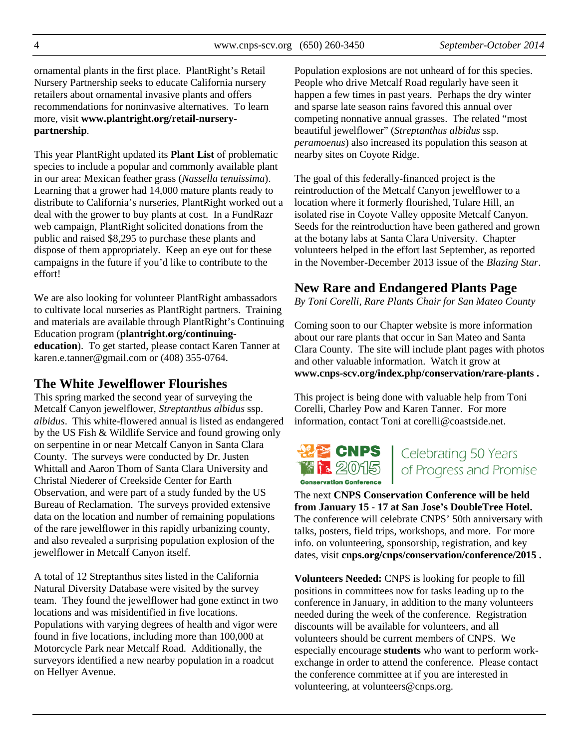ornamental plants in the first place. PlantRight's Retail Nursery Partnership seeks to educate California nursery retailers about ornamental invasive plants and offers recommendations for noninvasive alternatives. To learn more, visit **www.plantright.org/retail-nurserypartnership**.

This year PlantRight updated its **Plant List** of problematic species to include a popular and commonly available plant in our area: Mexican feather grass (*Nassella tenuissima*). Learning that a grower had 14,000 mature plants ready to distribute to California's nurseries, PlantRight worked out a deal with the grower to buy plants at cost. In a FundRazr web campaign, PlantRight solicited donations from the public and raised \$8,295 to purchase these plants and dispose of them appropriately. Keep an eye out for these campaigns in the future if you'd like to contribute to the effort!

We are also looking for volunteer PlantRight ambassadors to cultivate local nurseries as PlantRight partners. Training and materials are available through PlantRight's Continuing Education program (**plantright.org/continuingeducation**). To get started, please contact Karen Tanner at karen.e.tanner@gmail.com or (408) 355-0764.

# **The White Jewelflower Flourishes**

This spring marked the second year of surveying the Metcalf Canyon jewelflower, *Streptanthus albidus* ssp. *albidus*. This white-flowered annual is listed as endangered by the US Fish & Wildlife Service and found growing only on serpentine in or near Metcalf Canyon in Santa Clara County. The surveys were conducted by Dr. Justen Whittall and Aaron Thom of Santa Clara University and Christal Niederer of Creekside Center for Earth Observation, and were part of a study funded by the US Bureau of Reclamation. The surveys provided extensive data on the location and number of remaining populations of the rare jewelflower in this rapidly urbanizing county, and also revealed a surprising population explosion of the jewelflower in Metcalf Canyon itself.

A total of 12 Streptanthus sites listed in the California Natural Diversity Database were visited by the survey team. They found the jewelflower had gone extinct in two locations and was misidentified in five locations. Populations with varying degrees of health and vigor were found in five locations, including more than 100,000 at Motorcycle Park near Metcalf Road. Additionally, the surveyors identified a new nearby population in a roadcut on Hellyer Avenue.

Population explosions are not unheard of for this species. People who drive Metcalf Road regularly have seen it happen a few times in past years. Perhaps the dry winter and sparse late season rains favored this annual over competing nonnative annual grasses. The related "most beautiful jewelflower" (*Streptanthus albidus* ssp. *peramoenus*) also increased its population this season at nearby sites on Coyote Ridge.

The goal of this federally-financed project is the reintroduction of the Metcalf Canyon jewelflower to a location where it formerly flourished, Tulare Hill, an isolated rise in Coyote Valley opposite Metcalf Canyon. Seeds for the reintroduction have been gathered and grown at the botany labs at Santa Clara University. Chapter volunteers helped in the effort last September, as reported in the November-December 2013 issue of the *Blazing Star*.

# **New Rare and Endangered Plants Page**

*By Toni Corelli, Rare Plants Chair for San Mateo County* 

Coming soon to our Chapter website is more information about our rare plants that occur in San Mateo and Santa Clara County. The site will include plant pages with photos and other valuable information. Watch it grow at **www.cnps-scv.org/index.php/conservation/rare-plants .** 

This project is being done with valuable help from Toni Corelli, Charley Pow and Karen Tanner. For more information, contact Toni at corelli@coastside.net.



# Celebrating 50 Years of Progress and Promise

The next **CNPS Conservation Conference will be held from January 15 - 17 at San Jose's DoubleTree Hotel.** The conference will celebrate CNPS' 50th anniversary with talks, posters, field trips, workshops, and more. For more info. on volunteering, sponsorship, registration, and key dates, visit **cnps.org/cnps/conservation/conference/2015 .** 

**Volunteers Needed:** CNPS is looking for people to fill positions in committees now for tasks leading up to the conference in January, in addition to the many volunteers needed during the week of the conference. Registration discounts will be available for volunteers, and all volunteers should be current members of CNPS. We especially encourage **students** who want to perform workexchange in order to attend the conference. Please contact the conference committee at if you are interested in volunteering, at volunteers@cnps.org.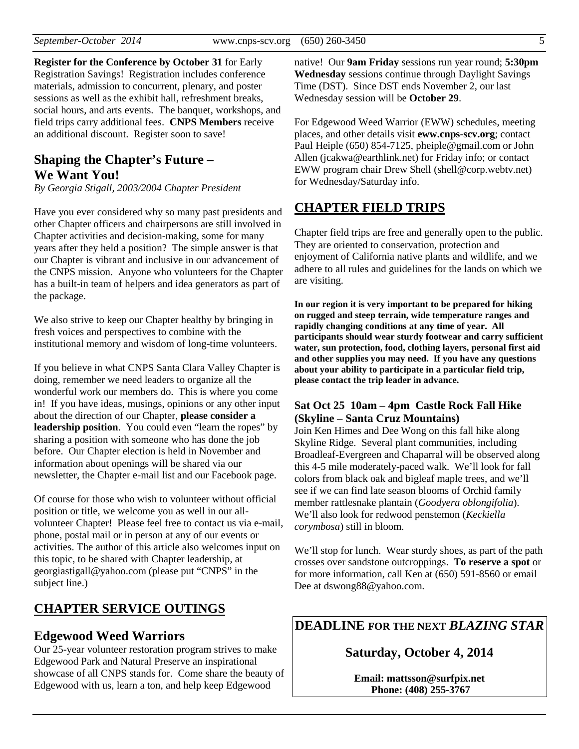**Register for the Conference by October 31** for Early Registration Savings! Registration includes conference materials, admission to concurrent, plenary, and poster sessions as well as the exhibit hall, refreshment breaks, social hours, and arts events. The banquet, workshops, and field trips carry additional fees. **CNPS Members** receive an additional discount. Register soon to save!

# **Shaping the Chapter's Future – We Want You!**

*By Georgia Stigall, 2003/2004 Chapter President* 

Have you ever considered why so many past presidents and other Chapter officers and chairpersons are still involved in Chapter activities and decision-making, some for many years after they held a position? The simple answer is that our Chapter is vibrant and inclusive in our advancement of the CNPS mission. Anyone who volunteers for the Chapter has a built-in team of helpers and idea generators as part of the package.

We also strive to keep our Chapter healthy by bringing in fresh voices and perspectives to combine with the institutional memory and wisdom of long-time volunteers.

If you believe in what CNPS Santa Clara Valley Chapter is doing, remember we need leaders to organize all the wonderful work our members do. This is where you come in! If you have ideas, musings, opinions or any other input about the direction of our Chapter, **please consider a leadership position**. You could even "learn the ropes" by sharing a position with someone who has done the job before. Our Chapter election is held in November and information about openings will be shared via our newsletter, the Chapter e-mail list and our Facebook page.

Of course for those who wish to volunteer without official position or title, we welcome you as well in our allvolunteer Chapter! Please feel free to contact us via e-mail, phone, postal mail or in person at any of our events or activities. The author of this article also welcomes input on this topic, to be shared with Chapter leadership, at georgiastigall@yahoo.com (please put "CNPS" in the subject line.)

# **CHAPTER SERVICE OUTINGS**

### **Edgewood Weed Warriors**

Our 25-year volunteer restoration program strives to make Edgewood Park and Natural Preserve an inspirational showcase of all CNPS stands for. Come share the beauty of Edgewood with us, learn a ton, and help keep Edgewood

native! Our **9am Friday** sessions run year round; **5:30pm Wednesday** sessions continue through Daylight Savings Time (DST). Since DST ends November 2, our last Wednesday session will be **October 29**.

For Edgewood Weed Warrior (EWW) schedules, meeting places, and other details visit **eww.cnps-scv.org**; contact Paul Heiple (650) 854-7125, pheiple@gmail.com or John Allen (jcakwa@earthlink.net) for Friday info; or contact EWW program chair Drew Shell (shell@corp.webtv.net) for Wednesday/Saturday info.

### **CHAPTER FIELD TRIPS**

Chapter field trips are free and generally open to the public. They are oriented to conservation, protection and enjoyment of California native plants and wildlife, and we adhere to all rules and guidelines for the lands on which we are visiting.

**In our region it is very important to be prepared for hiking on rugged and steep terrain, wide temperature ranges and rapidly changing conditions at any time of year. All participants should wear sturdy footwear and carry sufficient water, sun protection, food, clothing layers, personal first aid and other supplies you may need. If you have any questions about your ability to participate in a particular field trip, please contact the trip leader in advance.** 

#### **Sat Oct 25 10am – 4pm Castle Rock Fall Hike (Skyline – Santa Cruz Mountains)**

Join Ken Himes and Dee Wong on this fall hike along Skyline Ridge. Several plant communities, including Broadleaf-Evergreen and Chaparral will be observed along this 4-5 mile moderately-paced walk. We'll look for fall colors from black oak and bigleaf maple trees, and we'll see if we can find late season blooms of Orchid family member rattlesnake plantain (*Goodyera oblongifolia*). We'll also look for redwood penstemon (*Keckiella corymbosa*) still in bloom.

We'll stop for lunch. Wear sturdy shoes, as part of the path crosses over sandstone outcroppings. **To reserve a spot** or for more information, call Ken at (650) 591-8560 or email Dee at dswong88@yahoo.com.

# **DEADLINE FOR THE NEXT** *BLAZING STAR*

**Saturday, October 4, 2014** 

**Email: mattsson@surfpix.net Phone: (408) 255-3767**